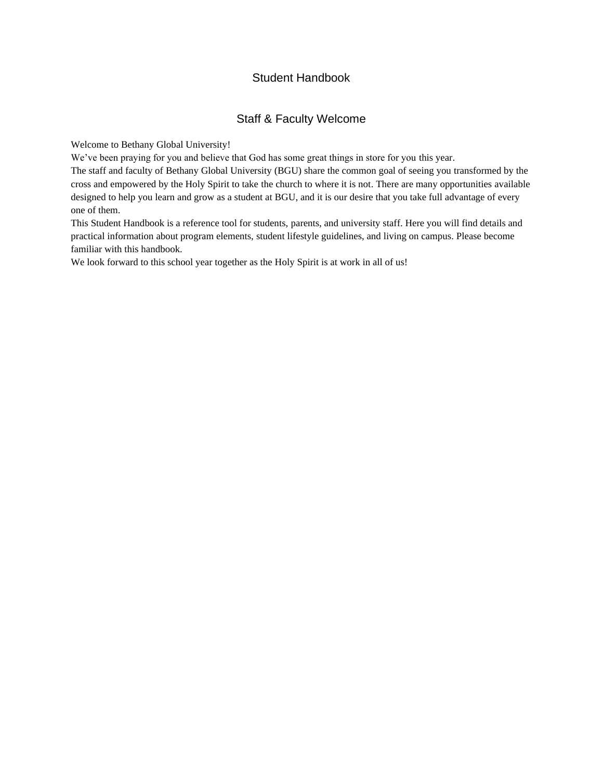### Student Handbook

### Staff & Faculty Welcome

Welcome to Bethany Global University!

We've been praying for you and believe that God has some great things in store for you this year.

The staff and faculty of Bethany Global University (BGU) share the common goal of seeing you transformed by the cross and empowered by the Holy Spirit to take the church to where it is not. There are many opportunities available designed to help you learn and grow as a student at BGU, and it is our desire that you take full advantage of every one of them.

This Student Handbook is a reference tool for students, parents, and university staff. Here you will find details and practical information about program elements, student lifestyle guidelines, and living on campus. Please become familiar with this handbook.

We look forward to this school year together as the Holy Spirit is at work in all of us!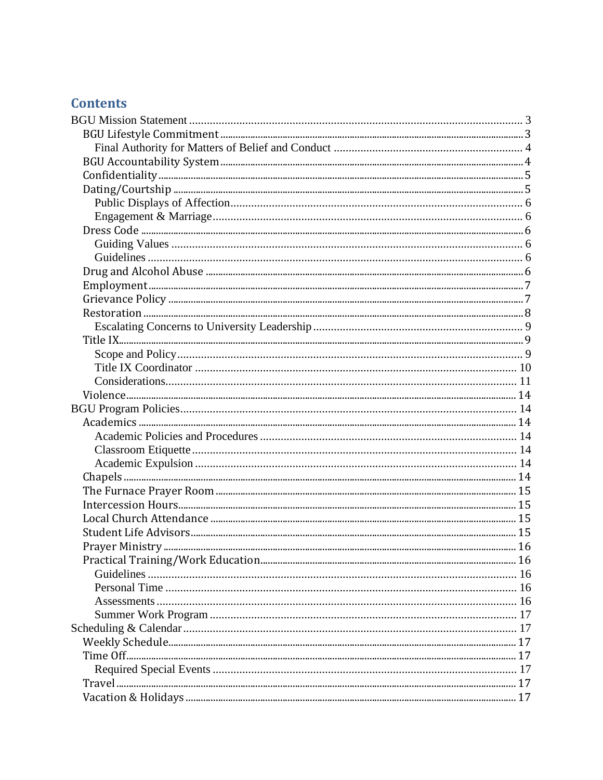## **Contents**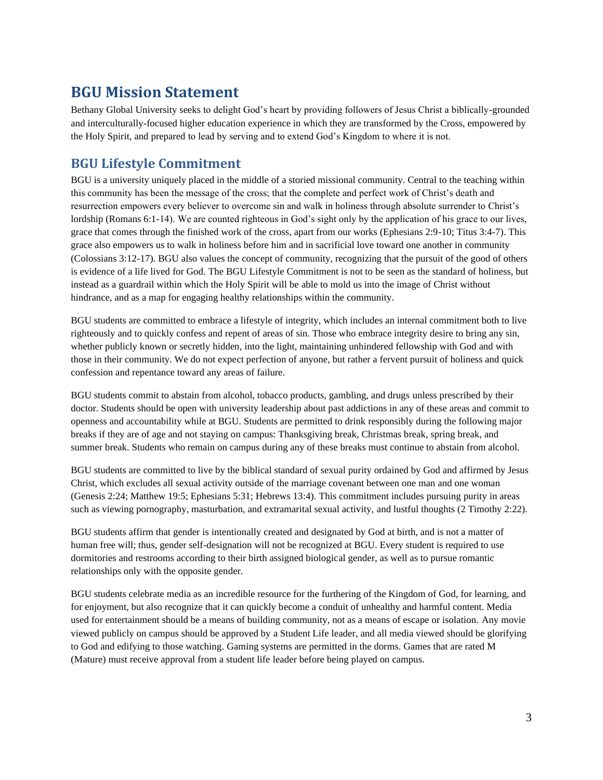# <span id="page-3-0"></span>**BGU Mission Statement**

Bethany Global University seeks to delight God's heart by providing followers of Jesus Christ a biblically-grounded and interculturally-focused higher education experience in which they are transformed by the Cross, empowered by the Holy Spirit, and prepared to lead by serving and to extend God's Kingdom to where it is not.

## <span id="page-3-1"></span>**BGU Lifestyle Commitment**

BGU is a university uniquely placed in the middle of a storied missional community. Central to the teaching within this community has been the message of the cross; that the complete and perfect work of Christ's death and resurrection empowers every believer to overcome sin and walk in holiness through absolute surrender to Christ's lordship (Romans 6:1-14). We are counted righteous in God's sight only by the application of his grace to our lives, grace that comes through the finished work of the cross, apart from our works (Ephesians 2:9-10; Titus 3:4-7). This grace also empowers us to walk in holiness before him and in sacrificial love toward one another in community (Colossians 3:12-17). BGU also values the concept of community, recognizing that the pursuit of the good of others is evidence of a life lived for God. The BGU Lifestyle Commitment is not to be seen as the standard of holiness, but instead as a guardrail within which the Holy Spirit will be able to mold us into the image of Christ without hindrance, and as a map for engaging healthy relationships within the community.

BGU students are committed to embrace a lifestyle of integrity, which includes an internal commitment both to live righteously and to quickly confess and repent of areas of sin. Those who embrace integrity desire to bring any sin, whether publicly known or secretly hidden, into the light, maintaining unhindered fellowship with God and with those in their community. We do not expect perfection of anyone, but rather a fervent pursuit of holiness and quick confession and repentance toward any areas of failure.

BGU students commit to abstain from alcohol, tobacco products, gambling, and drugs unless prescribed by their doctor. Students should be open with university leadership about past addictions in any of these areas and commit to openness and accountability while at BGU. Students are permitted to drink responsibly during the following major breaks if they are of age and not staying on campus: Thanksgiving break, Christmas break, spring break, and summer break. Students who remain on campus during any of these breaks must continue to abstain from alcohol.

BGU students are committed to live by the biblical standard of sexual purity ordained by God and affirmed by Jesus Christ, which excludes all sexual activity outside of the marriage covenant between one man and one woman (Genesis 2:24; Matthew 19:5; Ephesians 5:31; Hebrews 13:4). This commitment includes pursuing purity in areas such as viewing pornography, masturbation, and extramarital sexual activity, and lustful thoughts (2 Timothy 2:22).

BGU students affirm that gender is intentionally created and designated by God at birth, and is not a matter of human free will; thus, gender self-designation will not be recognized at BGU. Every student is required to use dormitories and restrooms according to their birth assigned biological gender, as well as to pursue romantic relationships only with the opposite gender.

BGU students celebrate media as an incredible resource for the furthering of the Kingdom of God, for learning, and for enjoyment, but also recognize that it can quickly become a conduit of unhealthy and harmful content. Media used for entertainment should be a means of building community, not as a means of escape or isolation. Any movie viewed publicly on campus should be approved by a Student Life leader, and all media viewed should be glorifying to God and edifying to those watching. Gaming systems are permitted in the dorms. Games that are rated M (Mature) must receive approval from a student life leader before being played on campus.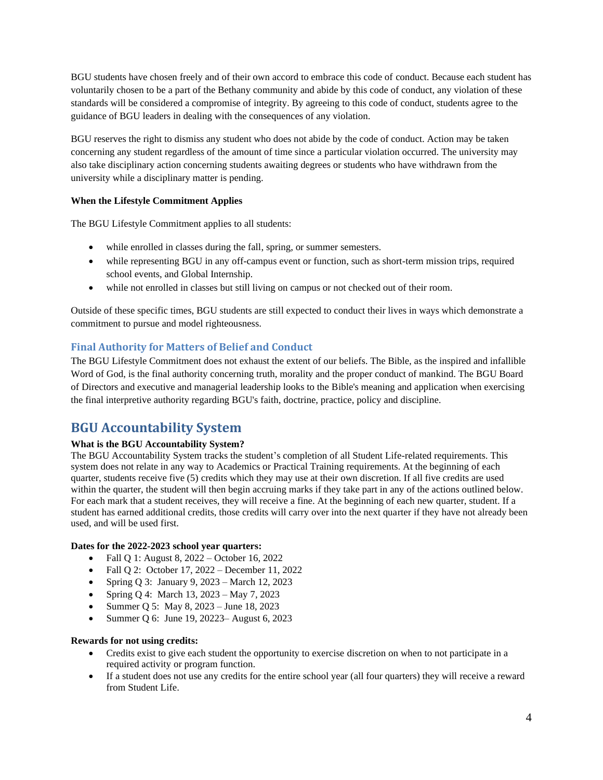BGU students have chosen freely and of their own accord to embrace this code of conduct. Because each student has voluntarily chosen to be a part of the Bethany community and abide by this code of conduct, any violation of these standards will be considered a compromise of integrity. By agreeing to this code of conduct, students agree to the guidance of BGU leaders in dealing with the consequences of any violation.

BGU reserves the right to dismiss any student who does not abide by the code of conduct. Action may be taken concerning any student regardless of the amount of time since a particular violation occurred. The university may also take disciplinary action concerning students awaiting degrees or students who have withdrawn from the university while a disciplinary matter is pending.

### **When the Lifestyle Commitment Applies**

The BGU Lifestyle Commitment applies to all students:

- while enrolled in classes during the fall, spring, or summer semesters.
- while representing BGU in any off-campus event or function, such as short-term mission trips, required school events, and Global Internship.
- while not enrolled in classes but still living on campus or not checked out of their room.

Outside of these specific times, BGU students are still expected to conduct their lives in ways which demonstrate a commitment to pursue and model righteousness.

### <span id="page-4-0"></span>**Final Authority for Matters of Belief and Conduct**

The BGU Lifestyle Commitment does not exhaust the extent of our beliefs. The Bible, as the inspired and infallible Word of God, is the final authority concerning truth, morality and the proper conduct of mankind. The BGU Board of Directors and executive and managerial leadership looks to the Bible's meaning and application when exercising the final interpretive authority regarding BGU's faith, doctrine, practice, policy and discipline.

## <span id="page-4-1"></span>**BGU Accountability System**

### **What is the BGU Accountability System?**

The BGU Accountability System tracks the student's completion of all Student Life-related requirements. This system does not relate in any way to Academics or Practical Training requirements. At the beginning of each quarter, students receive five (5) credits which they may use at their own discretion. If all five credits are used within the quarter, the student will then begin accruing marks if they take part in any of the actions outlined below. For each mark that a student receives, they will receive a fine. At the beginning of each new quarter, student. If a student has earned additional credits, those credits will carry over into the next quarter if they have not already been used, and will be used first.

#### **Dates for the 2022-2023 school year quarters:**

- Fall Q 1: August 8, 2022 October 16, 2022
- Fall Q 2: October 17, 2022 December 11, 2022
- Spring Q 3: January 9, 2023 March 12, 2023
- Spring Q 4: March 13, 2023 May 7, 2023
- Summer Q 5: May 8, 2023 June 18, 2023
- Summer Q 6: June 19, 20223– August 6, 2023

#### **Rewards for not using credits:**

- Credits exist to give each student the opportunity to exercise discretion on when to not participate in a required activity or program function.
- If a student does not use any credits for the entire school year (all four quarters) they will receive a reward from Student Life.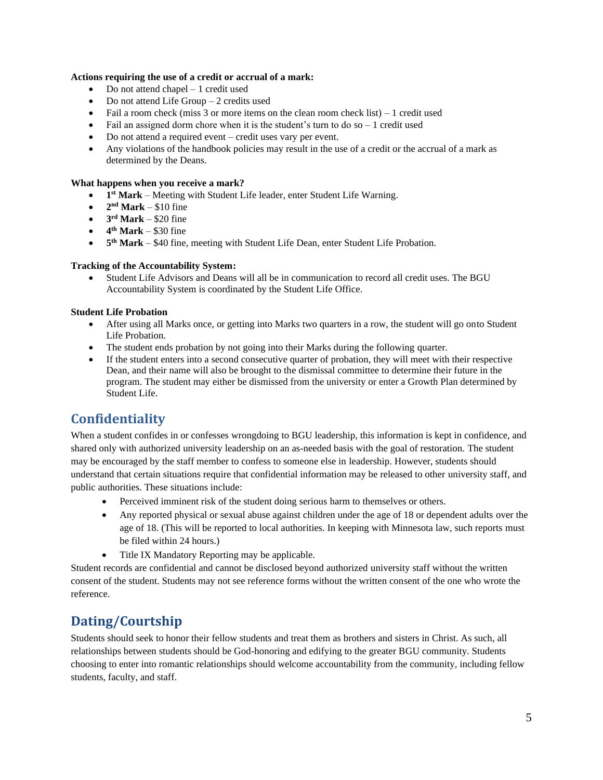#### **Actions requiring the use of a credit or accrual of a mark:**

- Do not attend chapel 1 credit used
- Do not attend Life Group  $-2$  credits used
- Fail a room check (miss 3 or more items on the clean room check list)  $-1$  credit used
- Fail an assigned dorm chore when it is the student's turn to do  $so 1$  credit used
- Do not attend a required event credit uses vary per event.
- Any violations of the handbook policies may result in the use of a credit or the accrual of a mark as determined by the Deans.

#### **What happens when you receive a mark?**

- **1 st Mark** Meeting with Student Life leader, enter Student Life Warning.
- $2<sup>nd</sup>$  **Mark** \$10 fine
- $\bullet$  **3<sup>rd</sup> Mark** \$20 fine
- $\bullet$  4<sup>th</sup> Mark \$30 fine
- 5<sup>th</sup> Mark \$40 fine, meeting with Student Life Dean, enter Student Life Probation.

#### **Tracking of the Accountability System:**

• Student Life Advisors and Deans will all be in communication to record all credit uses. The BGU Accountability System is coordinated by the Student Life Office.

#### **Student Life Probation**

- After using all Marks once, or getting into Marks two quarters in a row, the student will go onto Student Life Probation.
- The student ends probation by not going into their Marks during the following quarter.
- If the student enters into a second consecutive quarter of probation, they will meet with their respective Dean, and their name will also be brought to the dismissal committee to determine their future in the program. The student may either be dismissed from the university or enter a Growth Plan determined by Student Life.

## <span id="page-5-0"></span>**Confidentiality**

When a student confides in or confesses wrongdoing to BGU leadership, this information is kept in confidence, and shared only with authorized university leadership on an as-needed basis with the goal of restoration. The student may be encouraged by the staff member to confess to someone else in leadership. However, students should understand that certain situations require that confidential information may be released to other university staff, and public authorities. These situations include:

- Perceived imminent risk of the student doing serious harm to themselves or others.
- Any reported physical or sexual abuse against children under the age of 18 or dependent adults over the age of 18. (This will be reported to local authorities. In keeping with Minnesota law, such reports must be filed within 24 hours.)
- Title IX Mandatory Reporting may be applicable.

Student records are confidential and cannot be disclosed beyond authorized university staff without the written consent of the student. Students may not see reference forms without the written consent of the one who wrote the reference.

## <span id="page-5-1"></span>**Dating/Courtship**

Students should seek to honor their fellow students and treat them as brothers and sisters in Christ. As such, all relationships between students should be God-honoring and edifying to the greater BGU community. Students choosing to enter into romantic relationships should welcome accountability from the community, including fellow students, faculty, and staff.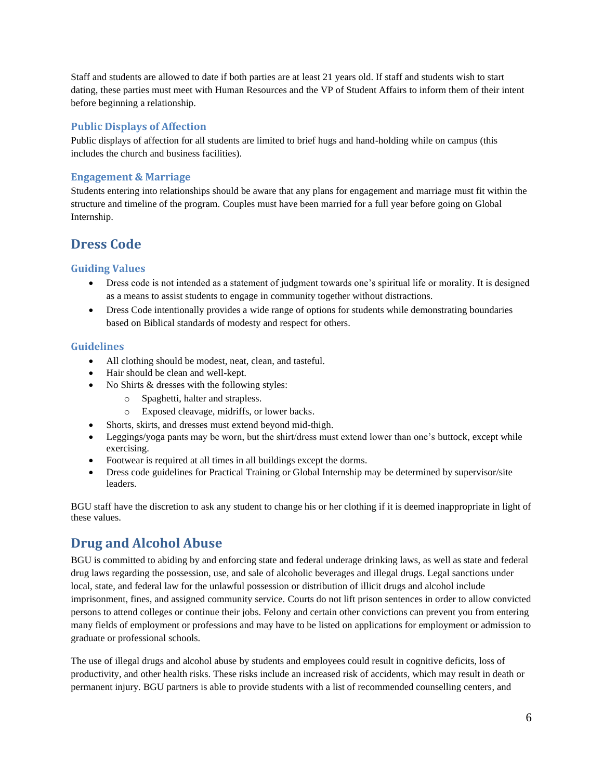Staff and students are allowed to date if both parties are at least 21 years old. If staff and students wish to start dating, these parties must meet with Human Resources and the VP of Student Affairs to inform them of their intent before beginning a relationship.

#### <span id="page-6-0"></span>**Public Displays of Affection**

Public displays of affection for all students are limited to brief hugs and hand-holding while on campus (this includes the church and business facilities).

#### <span id="page-6-1"></span>**Engagement & Marriage**

Students entering into relationships should be aware that any plans for engagement and marriage must fit within the structure and timeline of the program. Couples must have been married for a full year before going on Global Internship.

### <span id="page-6-2"></span>**Dress Code**

### <span id="page-6-3"></span>**Guiding Values**

- Dress code is not intended as a statement of judgment towards one's spiritual life or morality. It is designed as a means to assist students to engage in community together without distractions.
- Dress Code intentionally provides a wide range of options for students while demonstrating boundaries based on Biblical standards of modesty and respect for others.

#### <span id="page-6-4"></span>**Guidelines**

- All clothing should be modest, neat, clean, and tasteful.
- Hair should be clean and well-kept.
- No Shirts & dresses with the following styles:
	- o Spaghetti, halter and strapless.
	- o Exposed cleavage, midriffs, or lower backs.
- Shorts, skirts, and dresses must extend beyond mid-thigh.
- Leggings/yoga pants may be worn, but the shirt/dress must extend lower than one's buttock, except while exercising.
- Footwear is required at all times in all buildings except the dorms.
- Dress code guidelines for Practical Training or Global Internship may be determined by supervisor/site leaders.

BGU staff have the discretion to ask any student to change his or her clothing if it is deemed inappropriate in light of these values.

## <span id="page-6-5"></span>**Drug and Alcohol Abuse**

BGU is committed to abiding by and enforcing state and federal underage drinking laws, as well as state and federal drug laws regarding the possession, use, and sale of alcoholic beverages and illegal drugs. Legal sanctions under local, state, and federal law for the unlawful possession or distribution of illicit drugs and alcohol include imprisonment, fines, and assigned community service. Courts do not lift prison sentences in order to allow convicted persons to attend colleges or continue their jobs. Felony and certain other convictions can prevent you from entering many fields of employment or professions and may have to be listed on applications for employment or admission to graduate or professional schools.

The use of illegal drugs and alcohol abuse by students and employees could result in cognitive deficits, loss of productivity, and other health risks. These risks include an increased risk of accidents, which may result in death or permanent injury. BGU partners is able to provide students with a list of recommended counselling centers, and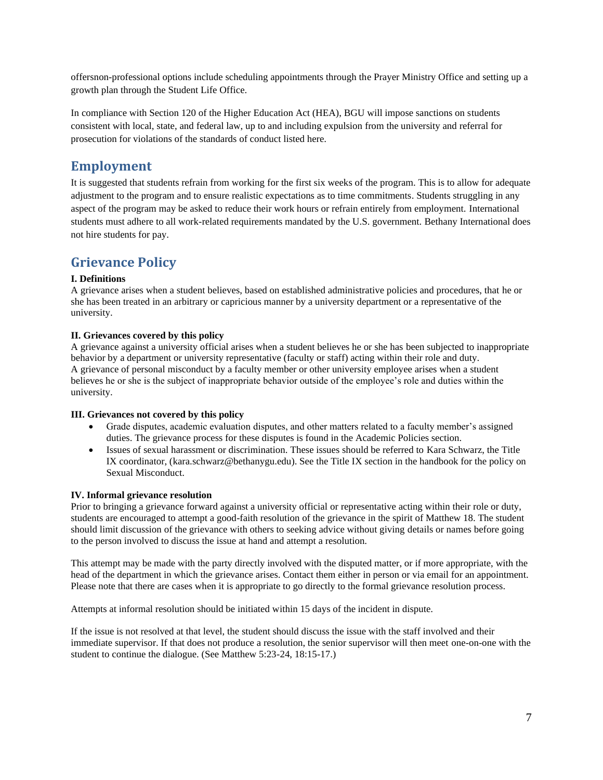offersnon-professional options include scheduling appointments through the Prayer Ministry Office and setting up a growth plan through the Student Life Office.

In compliance with Section 120 of the Higher Education Act (HEA), BGU will impose sanctions on students consistent with local, state, and federal law, up to and including expulsion from the university and referral for prosecution for violations of the standards of conduct listed here.

### <span id="page-7-0"></span>**Employment**

It is suggested that students refrain from working for the first six weeks of the program. This is to allow for adequate adjustment to the program and to ensure realistic expectations as to time commitments. Students struggling in any aspect of the program may be asked to reduce their work hours or refrain entirely from employment. International students must adhere to all work-related requirements mandated by the U.S. government. Bethany International does not hire students for pay.

## <span id="page-7-1"></span>**Grievance Policy**

#### **I. Definitions**

A grievance arises when a student believes, based on established administrative policies and procedures, that he or she has been treated in an arbitrary or capricious manner by a university department or a representative of the university.

#### **II. Grievances covered by this policy**

A grievance against a university official arises when a student believes he or she has been subjected to inappropriate behavior by a department or university representative (faculty or staff) acting within their role and duty. A grievance of personal misconduct by a faculty member or other university employee arises when a student believes he or she is the subject of inappropriate behavior outside of the employee's role and duties within the university.

#### **III. Grievances not covered by this policy**

- Grade disputes, academic evaluation disputes, and other matters related to a faculty member's assigned duties. The grievance process for these disputes is found in the Academic Policies section.
- Issues of sexual harassment or discrimination. These issues should be referred to Kara Schwarz, the Title IX coordinator, (kara.schwarz@bethanygu.edu). See the Title IX section in the handbook for the policy on Sexual Misconduct.

#### **IV. Informal grievance resolution**

Prior to bringing a grievance forward against a university official or representative acting within their role or duty, students are encouraged to attempt a good-faith resolution of the grievance in the spirit of Matthew 18. The student should limit discussion of the grievance with others to seeking advice without giving details or names before going to the person involved to discuss the issue at hand and attempt a resolution.

This attempt may be made with the party directly involved with the disputed matter, or if more appropriate, with the head of the department in which the grievance arises. Contact them either in person or via email for an appointment. Please note that there are cases when it is appropriate to go directly to the formal grievance resolution process.

Attempts at informal resolution should be initiated within 15 days of the incident in dispute.

If the issue is not resolved at that level, the student should discuss the issue with the staff involved and their immediate supervisor. If that does not produce a resolution, the senior supervisor will then meet one-on-one with the student to continue the dialogue. (See Matthew 5:23-24, 18:15-17.)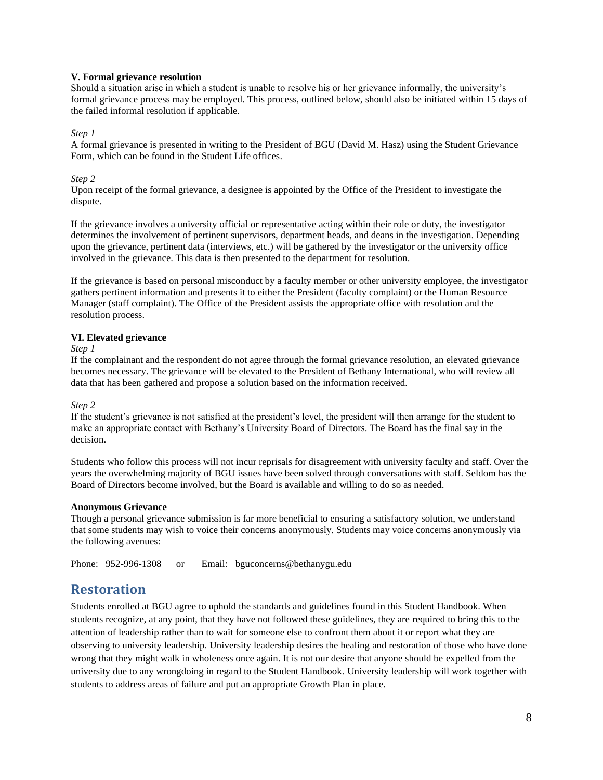#### **V. Formal grievance resolution**

Should a situation arise in which a student is unable to resolve his or her grievance informally, the university's formal grievance process may be employed. This process, outlined below, should also be initiated within 15 days of the failed informal resolution if applicable.

#### *Step 1*

A formal grievance is presented in writing to the President of BGU (David M. Hasz) using the Student Grievance Form, which can be found in the Student Life offices.

#### *Step 2*

Upon receipt of the formal grievance, a designee is appointed by the Office of the President to investigate the dispute.

If the grievance involves a university official or representative acting within their role or duty, the investigator determines the involvement of pertinent supervisors, department heads, and deans in the investigation. Depending upon the grievance, pertinent data (interviews, etc.) will be gathered by the investigator or the university office involved in the grievance. This data is then presented to the department for resolution.

If the grievance is based on personal misconduct by a faculty member or other university employee, the investigator gathers pertinent information and presents it to either the President (faculty complaint) or the Human Resource Manager (staff complaint). The Office of the President assists the appropriate office with resolution and the resolution process.

#### **VI. Elevated grievance**

#### *Step 1*

If the complainant and the respondent do not agree through the formal grievance resolution, an elevated grievance becomes necessary. The grievance will be elevated to the President of Bethany International, who will review all data that has been gathered and propose a solution based on the information received.

#### *Step 2*

If the student's grievance is not satisfied at the president's level, the president will then arrange for the student to make an appropriate contact with Bethany's University Board of Directors. The Board has the final say in the decision.

Students who follow this process will not incur reprisals for disagreement with university faculty and staff. Over the years the overwhelming majority of BGU issues have been solved through conversations with staff. Seldom has the Board of Directors become involved, but the Board is available and willing to do so as needed.

#### **Anonymous Grievance**

Though a personal grievance submission is far more beneficial to ensuring a satisfactory solution, we understand that some students may wish to voice their concerns anonymously. Students may voice concerns anonymously via the following avenues:

<span id="page-8-0"></span>Phone: 952-996-1308 or Email: bguconcerns@bethanygu.edu

### **Restoration**

Students enrolled at BGU agree to uphold the standards and guidelines found in this Student Handbook. When students recognize, at any point, that they have not followed these guidelines, they are required to bring this to the attention of leadership rather than to wait for someone else to confront them about it or report what they are observing to university leadership. University leadership desires the healing and restoration of those who have done wrong that they might walk in wholeness once again. It is not our desire that anyone should be expelled from the university due to any wrongdoing in regard to the Student Handbook. University leadership will work together with students to address areas of failure and put an appropriate Growth Plan in place.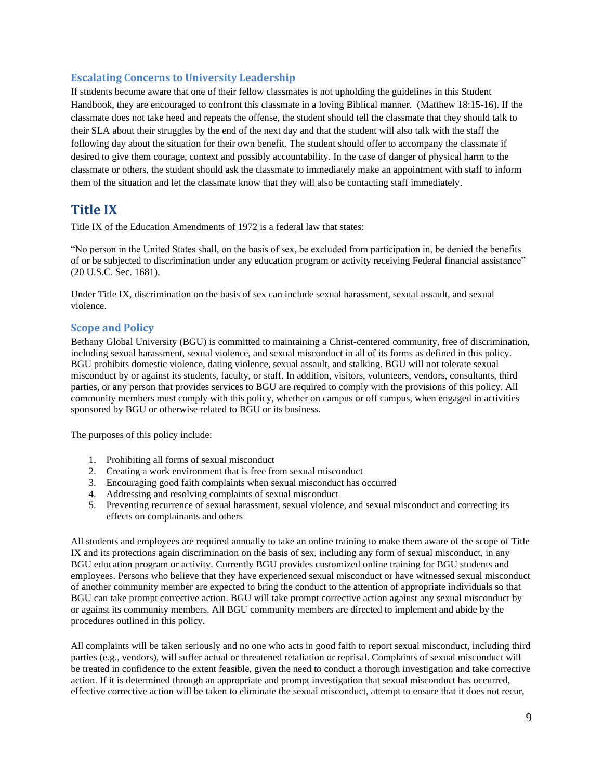#### <span id="page-9-0"></span>**Escalating Concerns to University Leadership**

If students become aware that one of their fellow classmates is not upholding the guidelines in this Student Handbook, they are encouraged to confront this classmate in a loving Biblical manner. (Matthew 18:15-16). If the classmate does not take heed and repeats the offense, the student should tell the classmate that they should talk to their SLA about their struggles by the end of the next day and that the student will also talk with the staff the following day about the situation for their own benefit. The student should offer to accompany the classmate if desired to give them courage, context and possibly accountability. In the case of danger of physical harm to the classmate or others, the student should ask the classmate to immediately make an appointment with staff to inform them of the situation and let the classmate know that they will also be contacting staff immediately.

### <span id="page-9-1"></span>**Title IX**

Title IX of the Education Amendments of 1972 is a federal law that states:

"No person in the United States shall, on the basis of sex, be excluded from participation in, be denied the benefits of or be subjected to discrimination under any education program or activity receiving Federal financial assistance" (20 U.S.C. Sec. 1681).

Under Title IX, discrimination on the basis of sex can include sexual harassment, sexual assault, and sexual violence.

### <span id="page-9-2"></span>**Scope and Policy**

Bethany Global University (BGU) is committed to maintaining a Christ-centered community, free of discrimination, including sexual harassment, sexual violence, and sexual misconduct in all of its forms as defined in this policy. BGU prohibits domestic violence, dating violence, sexual assault, and stalking. BGU will not tolerate sexual misconduct by or against its students, faculty, or staff. In addition, visitors, volunteers, vendors, consultants, third parties, or any person that provides services to BGU are required to comply with the provisions of this policy. All community members must comply with this policy, whether on campus or off campus, when engaged in activities sponsored by BGU or otherwise related to BGU or its business.

The purposes of this policy include:

- 1. Prohibiting all forms of sexual misconduct
- 2. Creating a work environment that is free from sexual misconduct
- 3. Encouraging good faith complaints when sexual misconduct has occurred
- 4. Addressing and resolving complaints of sexual misconduct
- 5. Preventing recurrence of sexual harassment, sexual violence, and sexual misconduct and correcting its effects on complainants and others

All students and employees are required annually to take an online training to make them aware of the scope of Title IX and its protections again discrimination on the basis of sex, including any form of sexual misconduct, in any BGU education program or activity. Currently BGU provides customized online training for BGU students and employees. Persons who believe that they have experienced sexual misconduct or have witnessed sexual misconduct of another community member are expected to bring the conduct to the attention of appropriate individuals so that BGU can take prompt corrective action. BGU will take prompt corrective action against any sexual misconduct by or against its community members. All BGU community members are directed to implement and abide by the procedures outlined in this policy.

All complaints will be taken seriously and no one who acts in good faith to report sexual misconduct, including third parties (e.g., vendors), will suffer actual or threatened retaliation or reprisal. Complaints of sexual misconduct will be treated in confidence to the extent feasible, given the need to conduct a thorough investigation and take corrective action. If it is determined through an appropriate and prompt investigation that sexual misconduct has occurred, effective corrective action will be taken to eliminate the sexual misconduct, attempt to ensure that it does not recur,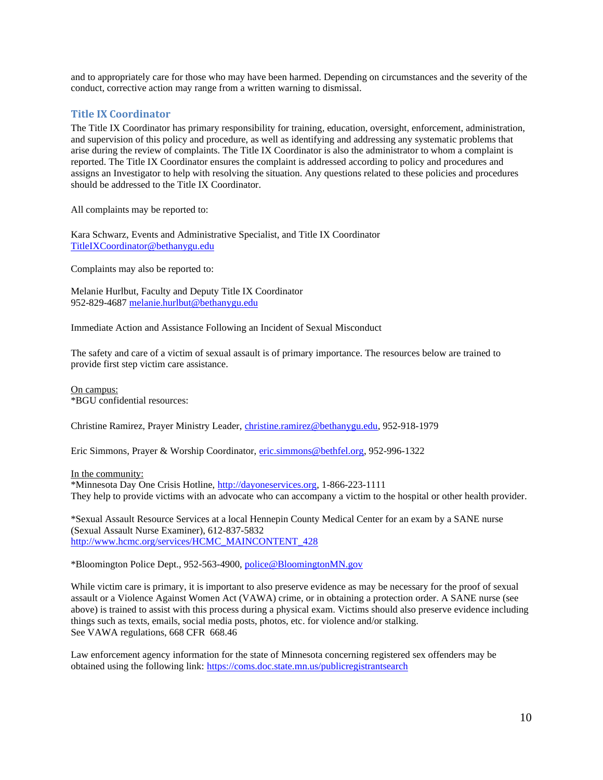and to appropriately care for those who may have been harmed. Depending on circumstances and the severity of the conduct, corrective action may range from a written warning to dismissal.

#### <span id="page-10-0"></span>**Title IX Coordinator**

The Title IX Coordinator has primary responsibility for training, education, oversight, enforcement, administration, and supervision of this policy and procedure, as well as identifying and addressing any systematic problems that arise during the review of complaints. The Title IX Coordinator is also the administrator to whom a complaint is reported. The Title IX Coordinator ensures the complaint is addressed according to policy and procedures and assigns an Investigator to help with resolving the situation. Any questions related to these policies and procedures should be addressed to the Title IX Coordinator.

All complaints may be reported to:

Kara Schwarz, Events and Administrative Specialist, and Title IX Coordinator [TitleIXCoordinator@bethanygu.edu](mailto:TitleIXCoordinator@bethanygu.edu)

Complaints may also be reported to:

Melanie Hurlbut, Faculty and Deputy Title IX Coordinator 952-829-4687 [melanie.hurlbut@bethanygu.edu](mailto:melanie.hurlbut@bethanygu.edu)

Immediate Action and Assistance Following an Incident of Sexual Misconduct

The safety and care of a victim of sexual assault is of primary importance. The resources below are trained to provide first step victim care assistance.

On campus: \*BGU confidential resources:

Christine Ramirez, Prayer Ministry Leader, [christine.ramirez@bethanygu.edu,](mailto:christine.ramirez@bethanygu.edu) 952-918-1979

Eric Simmons, Prayer & Worship Coordinator, [eric.simmons@bethfel.org,](mailto:eric.simmons@bethfel.org) 952-996-1322

In the community:

\*Minnesota Day One Crisis Hotline, [http://dayoneservices.org,](http://dayoneservices.org/) 1-866-223-1111 They help to provide victims with an advocate who can accompany a victim to the hospital or other health provider.

\*Sexual Assault Resource Services at a local Hennepin County Medical Center for an exam by a SANE nurse (Sexual Assault Nurse Examiner), 612-837-5832 [http://www.hcmc.org/services/HCMC\\_MAINCONTENT\\_428](http://www.hcmc.org/services/HCMC_MAINCONTENT_428)

\*Bloomington Police Dept., 952-563-4900[, police@BloomingtonMN.gov](mailto:police@BloomingtonMN.gov)

While victim care is primary, it is important to also preserve evidence as may be necessary for the proof of sexual assault or a Violence Against Women Act (VAWA) crime, or in obtaining a protection order. A SANE nurse (see above) is trained to assist with this process during a physical exam. Victims should also preserve evidence including things such as texts, emails, social media posts, photos, etc. for violence and/or stalking. See VAWA regulations, 668 CFR 668.46

Law enforcement agency information for the state of Minnesota concerning registered sex offenders may be obtained using the following link: <https://coms.doc.state.mn.us/publicregistrantsearch>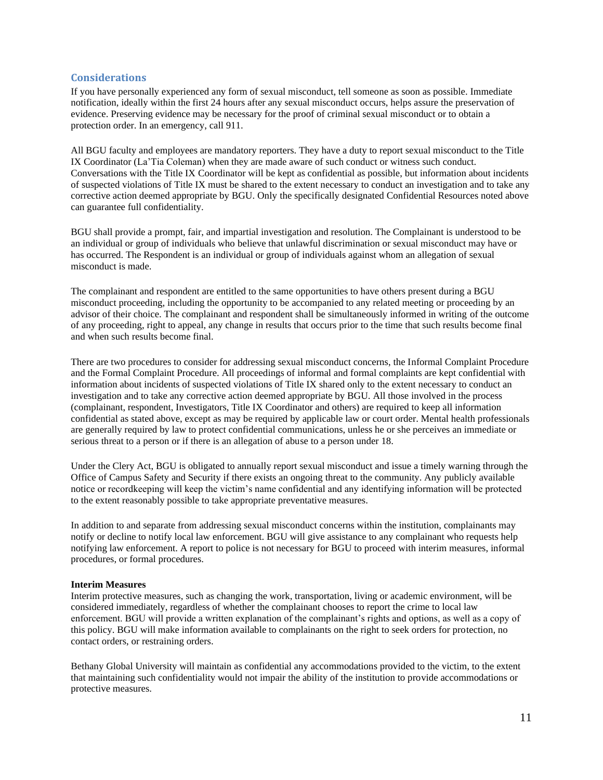#### <span id="page-11-0"></span>**Considerations**

If you have personally experienced any form of sexual misconduct, tell someone as soon as possible. Immediate notification, ideally within the first 24 hours after any sexual misconduct occurs, helps assure the preservation of evidence. Preserving evidence may be necessary for the proof of criminal sexual misconduct or to obtain a protection order. In an emergency, call 911.

All BGU faculty and employees are mandatory reporters. They have a duty to report sexual misconduct to the Title IX Coordinator (La'Tia Coleman) when they are made aware of such conduct or witness such conduct. Conversations with the Title IX Coordinator will be kept as confidential as possible, but information about incidents of suspected violations of Title IX must be shared to the extent necessary to conduct an investigation and to take any corrective action deemed appropriate by BGU. Only the specifically designated Confidential Resources noted above can guarantee full confidentiality.

BGU shall provide a prompt, fair, and impartial investigation and resolution. The Complainant is understood to be an individual or group of individuals who believe that unlawful discrimination or sexual misconduct may have or has occurred. The Respondent is an individual or group of individuals against whom an allegation of sexual misconduct is made.

The complainant and respondent are entitled to the same opportunities to have others present during a BGU misconduct proceeding, including the opportunity to be accompanied to any related meeting or proceeding by an advisor of their choice. The complainant and respondent shall be simultaneously informed in writing of the outcome of any proceeding, right to appeal, any change in results that occurs prior to the time that such results become final and when such results become final.

There are two procedures to consider for addressing sexual misconduct concerns, the Informal Complaint Procedure and the Formal Complaint Procedure. All proceedings of informal and formal complaints are kept confidential with information about incidents of suspected violations of Title IX shared only to the extent necessary to conduct an investigation and to take any corrective action deemed appropriate by BGU. All those involved in the process (complainant, respondent, Investigators, Title IX Coordinator and others) are required to keep all information confidential as stated above, except as may be required by applicable law or court order. Mental health professionals are generally required by law to protect confidential communications, unless he or she perceives an immediate or serious threat to a person or if there is an allegation of abuse to a person under 18.

Under the Clery Act, BGU is obligated to annually report sexual misconduct and issue a timely warning through the Office of Campus Safety and Security if there exists an ongoing threat to the community. Any publicly available notice or recordkeeping will keep the victim's name confidential and any identifying information will be protected to the extent reasonably possible to take appropriate preventative measures.

In addition to and separate from addressing sexual misconduct concerns within the institution, complainants may notify or decline to notify local law enforcement. BGU will give assistance to any complainant who requests help notifying law enforcement. A report to police is not necessary for BGU to proceed with interim measures, informal procedures, or formal procedures.

#### **Interim Measures**

Interim protective measures, such as changing the work, transportation, living or academic environment, will be considered immediately, regardless of whether the complainant chooses to report the crime to local law enforcement. BGU will provide a written explanation of the complainant's rights and options, as well as a copy of this policy. BGU will make information available to complainants on the right to seek orders for protection, no contact orders, or restraining orders.

Bethany Global University will maintain as confidential any accommodations provided to the victim, to the extent that maintaining such confidentiality would not impair the ability of the institution to provide accommodations or protective measures.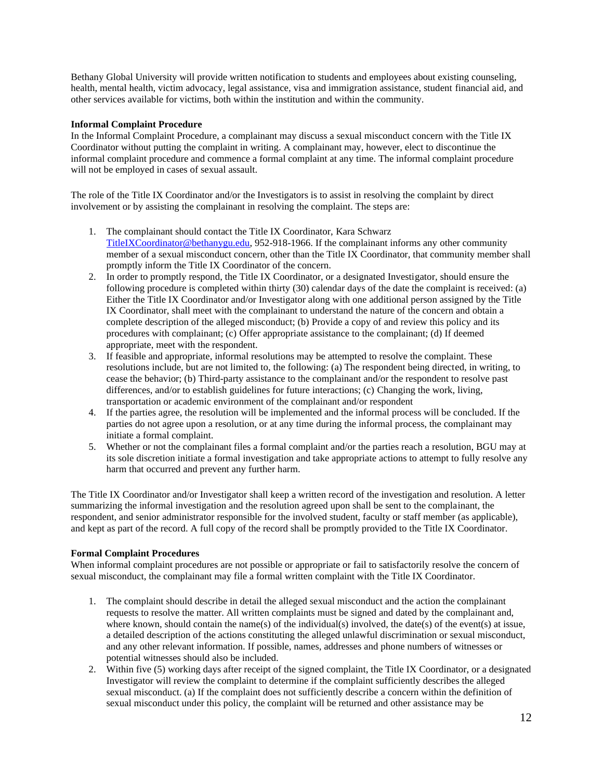Bethany Global University will provide written notification to students and employees about existing counseling, health, mental health, victim advocacy, legal assistance, visa and immigration assistance, student financial aid, and other services available for victims, both within the institution and within the community.

#### **Informal Complaint Procedure**

In the Informal Complaint Procedure, a complainant may discuss a sexual misconduct concern with the Title IX Coordinator without putting the complaint in writing. A complainant may, however, elect to discontinue the informal complaint procedure and commence a formal complaint at any time. The informal complaint procedure will not be employed in cases of sexual assault.

The role of the Title IX Coordinator and/or the Investigators is to assist in resolving the complaint by direct involvement or by assisting the complainant in resolving the complaint. The steps are:

- 1. The complainant should contact the Title IX Coordinator, Kara Schwarz [TitleIXCoordinator@bethanygu.edu,](mailto:TitleIXCoordinator@bethanygu.edu) 952-918-1966. If the complainant informs any other community member of a sexual misconduct concern, other than the Title IX Coordinator, that community member shall promptly inform the Title IX Coordinator of the concern.
- 2. In order to promptly respond, the Title IX Coordinator, or a designated Investigator, should ensure the following procedure is completed within thirty (30) calendar days of the date the complaint is received: (a) Either the Title IX Coordinator and/or Investigator along with one additional person assigned by the Title IX Coordinator, shall meet with the complainant to understand the nature of the concern and obtain a complete description of the alleged misconduct; (b) Provide a copy of and review this policy and its procedures with complainant; (c) Offer appropriate assistance to the complainant; (d) If deemed appropriate, meet with the respondent.
- 3. If feasible and appropriate, informal resolutions may be attempted to resolve the complaint. These resolutions include, but are not limited to, the following: (a) The respondent being directed, in writing, to cease the behavior; (b) Third-party assistance to the complainant and/or the respondent to resolve past differences, and/or to establish guidelines for future interactions; (c) Changing the work, living, transportation or academic environment of the complainant and/or respondent
- 4. If the parties agree, the resolution will be implemented and the informal process will be concluded. If the parties do not agree upon a resolution, or at any time during the informal process, the complainant may initiate a formal complaint.
- 5. Whether or not the complainant files a formal complaint and/or the parties reach a resolution, BGU may at its sole discretion initiate a formal investigation and take appropriate actions to attempt to fully resolve any harm that occurred and prevent any further harm.

The Title IX Coordinator and/or Investigator shall keep a written record of the investigation and resolution. A letter summarizing the informal investigation and the resolution agreed upon shall be sent to the complainant, the respondent, and senior administrator responsible for the involved student, faculty or staff member (as applicable), and kept as part of the record. A full copy of the record shall be promptly provided to the Title IX Coordinator.

#### **Formal Complaint Procedures**

When informal complaint procedures are not possible or appropriate or fail to satisfactorily resolve the concern of sexual misconduct, the complainant may file a formal written complaint with the Title IX Coordinator.

- 1. The complaint should describe in detail the alleged sexual misconduct and the action the complainant requests to resolve the matter. All written complaints must be signed and dated by the complainant and, where known, should contain the name(s) of the individual(s) involved, the date(s) of the event(s) at issue, a detailed description of the actions constituting the alleged unlawful discrimination or sexual misconduct, and any other relevant information. If possible, names, addresses and phone numbers of witnesses or potential witnesses should also be included.
- 2. Within five (5) working days after receipt of the signed complaint, the Title IX Coordinator, or a designated Investigator will review the complaint to determine if the complaint sufficiently describes the alleged sexual misconduct. (a) If the complaint does not sufficiently describe a concern within the definition of sexual misconduct under this policy, the complaint will be returned and other assistance may be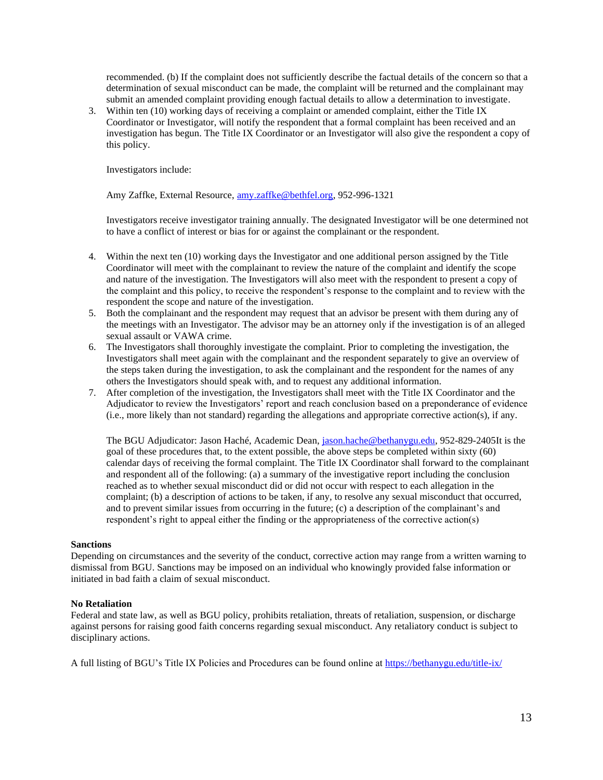recommended. (b) If the complaint does not sufficiently describe the factual details of the concern so that a determination of sexual misconduct can be made, the complaint will be returned and the complainant may submit an amended complaint providing enough factual details to allow a determination to investigate.

3. Within ten (10) working days of receiving a complaint or amended complaint, either the Title IX Coordinator or Investigator, will notify the respondent that a formal complaint has been received and an investigation has begun. The Title IX Coordinator or an Investigator will also give the respondent a copy of this policy.

Investigators include:

Amy Zaffke, External Resource[, amy.zaffke@bethfel.org,](mailto:amy.zaffke@bethfel.org) 952-996-1321

Investigators receive investigator training annually. The designated Investigator will be one determined not to have a conflict of interest or bias for or against the complainant or the respondent.

- 4. Within the next ten (10) working days the Investigator and one additional person assigned by the Title Coordinator will meet with the complainant to review the nature of the complaint and identify the scope and nature of the investigation. The Investigators will also meet with the respondent to present a copy of the complaint and this policy, to receive the respondent's response to the complaint and to review with the respondent the scope and nature of the investigation.
- 5. Both the complainant and the respondent may request that an advisor be present with them during any of the meetings with an Investigator. The advisor may be an attorney only if the investigation is of an alleged sexual assault or VAWA crime.
- 6. The Investigators shall thoroughly investigate the complaint. Prior to completing the investigation, the Investigators shall meet again with the complainant and the respondent separately to give an overview of the steps taken during the investigation, to ask the complainant and the respondent for the names of any others the Investigators should speak with, and to request any additional information.
- 7. After completion of the investigation, the Investigators shall meet with the Title IX Coordinator and the Adjudicator to review the Investigators' report and reach conclusion based on a preponderance of evidence (i.e., more likely than not standard) regarding the allegations and appropriate corrective action(s), if any.

The BGU Adjudicator: Jason Haché, Academic Dean, [jason.hache@bethanygu.edu,](mailto:jason.hache@bethanygu.edu) 952-829-2405It is the goal of these procedures that, to the extent possible, the above steps be completed within sixty (60) calendar days of receiving the formal complaint. The Title IX Coordinator shall forward to the complainant and respondent all of the following: (a) a summary of the investigative report including the conclusion reached as to whether sexual misconduct did or did not occur with respect to each allegation in the complaint; (b) a description of actions to be taken, if any, to resolve any sexual misconduct that occurred, and to prevent similar issues from occurring in the future; (c) a description of the complainant's and respondent's right to appeal either the finding or the appropriateness of the corrective action(s)

#### **Sanctions**

Depending on circumstances and the severity of the conduct, corrective action may range from a written warning to dismissal from BGU. Sanctions may be imposed on an individual who knowingly provided false information or initiated in bad faith a claim of sexual misconduct.

#### **No Retaliation**

Federal and state law, as well as BGU policy, prohibits retaliation, threats of retaliation, suspension, or discharge against persons for raising good faith concerns regarding sexual misconduct. Any retaliatory conduct is subject to disciplinary actions.

A full listing of BGU's Title IX Policies and Procedures can be found online at<https://bethanygu.edu/title-ix/>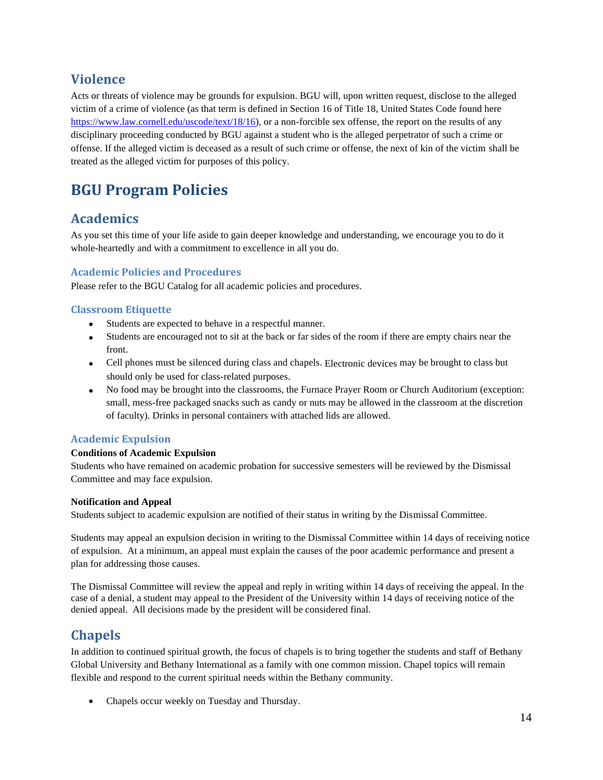## <span id="page-14-0"></span>**Violence**

Acts or threats of violence may be grounds for expulsion. BGU will, upon written request, disclose to the alleged victim of a crime of violence (as that term is defined in Section 16 of Title 18, United States Code found here [https://www.law.cornell.edu/uscode/text/18/16\)](https://www.law.cornell.edu/uscode/text/18/16), or a non-forcible sex offense, the report on the results of any disciplinary proceeding conducted by BGU against a student who is the alleged perpetrator of such a crime or offense. If the alleged victim is deceased as a result of such crime or offense, the next of kin of the victim shall be treated as the alleged victim for purposes of this policy.

# <span id="page-14-1"></span>**BGU Program Policies**

## <span id="page-14-2"></span>**Academics**

As you set this time of your life aside to gain deeper knowledge and understanding, we encourage you to do it whole-heartedly and with a commitment to excellence in all you do.

### <span id="page-14-3"></span>**Academic Policies and Procedures**

Please refer to the BGU Catalog for all academic policies and procedures.

### <span id="page-14-4"></span>**Classroom Etiquette**

- Students are expected to behave in a respectful manner.
- Students are encouraged not to sit at the back or far sides of the room if there are empty chairs near the front.
- Cell phones must be silenced during class and chapels. Electronic devices may be brought to class but should only be used for class-related purposes.
- No food may be brought into the classrooms, the Furnace Prayer Room or Church Auditorium (exception: small, mess-free packaged snacks such as candy or nuts may be allowed in the classroom at the discretion of faculty). Drinks in personal containers with attached lids are allowed.

### <span id="page-14-5"></span>**Academic Expulsion**

### **Conditions of Academic Expulsion**

Students who have remained on academic probation for successive semesters will be reviewed by the Dismissal Committee and may face expulsion.

### **Notification and Appeal**

Students subject to academic expulsion are notified of their status in writing by the Dismissal Committee.

Students may appeal an expulsion decision in writing to the Dismissal Committee within 14 days of receiving notice of expulsion. At a minimum, an appeal must explain the causes of the poor academic performance and present a plan for addressing those causes.

The Dismissal Committee will review the appeal and reply in writing within 14 days of receiving the appeal. In the case of a denial, a student may appeal to the President of the University within 14 days of receiving notice of the denied appeal. All decisions made by the president will be considered final.

## <span id="page-14-6"></span>**Chapels**

In addition to continued spiritual growth, the focus of chapels is to bring together the students and staff of Bethany Global University and Bethany International as a family with one common mission. Chapel topics will remain flexible and respond to the current spiritual needs within the Bethany community.

• Chapels occur weekly on Tuesday and Thursday.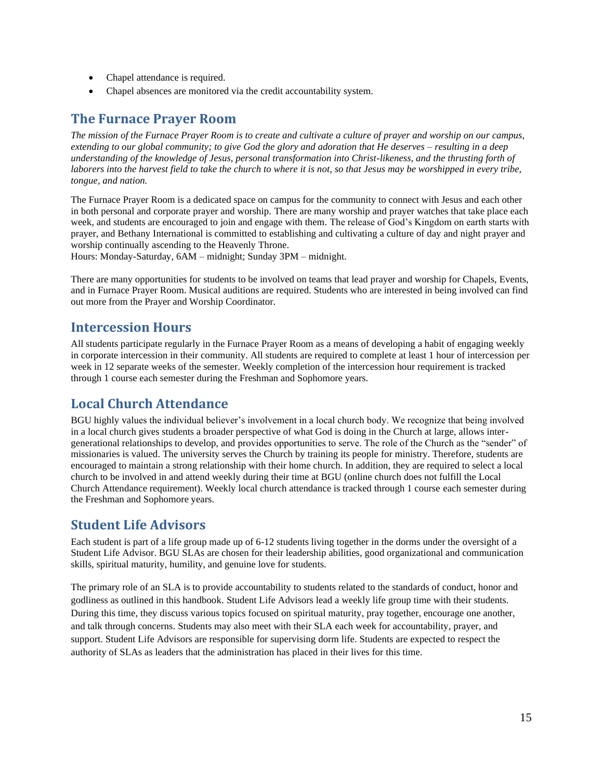- Chapel attendance is required.
- Chapel absences are monitored via the credit accountability system.

## <span id="page-15-0"></span>**The Furnace Prayer Room**

*The mission of the Furnace Prayer Room is to create and cultivate a culture of prayer and worship on our campus, extending to our global community; to give God the glory and adoration that He deserves – resulting in a deep understanding of the knowledge of Jesus, personal transformation into Christ-likeness, and the thrusting forth of*  laborers into the harvest field to take the church to where it is not, so that Jesus may be worshipped in every tribe, *tongue, and nation.*

The Furnace Prayer Room is a dedicated space on campus for the community to connect with Jesus and each other in both personal and corporate prayer and worship. There are many worship and prayer watches that take place each week, and students are encouraged to join and engage with them. The release of God's Kingdom on earth starts with prayer, and Bethany International is committed to establishing and cultivating a culture of day and night prayer and worship continually ascending to the Heavenly Throne.

Hours: Monday-Saturday, 6AM – midnight; Sunday 3PM – midnight.

There are many opportunities for students to be involved on teams that lead prayer and worship for Chapels, Events, and in Furnace Prayer Room. Musical auditions are required. Students who are interested in being involved can find out more from the Prayer and Worship Coordinator.

### <span id="page-15-1"></span>**Intercession Hours**

All students participate regularly in the Furnace Prayer Room as a means of developing a habit of engaging weekly in corporate intercession in their community. All students are required to complete at least 1 hour of intercession per week in 12 separate weeks of the semester. Weekly completion of the intercession hour requirement is tracked through 1 course each semester during the Freshman and Sophomore years.

## <span id="page-15-2"></span>**Local Church Attendance**

BGU highly values the individual believer's involvement in a local church body. We recognize that being involved in a local church gives students a broader perspective of what God is doing in the Church at large, allows intergenerational relationships to develop, and provides opportunities to serve. The role of the Church as the "sender" of missionaries is valued. The university serves the Church by training its people for ministry. Therefore, students are encouraged to maintain a strong relationship with their home church. In addition, they are required to select a local church to be involved in and attend weekly during their time at BGU (online church does not fulfill the Local Church Attendance requirement). Weekly local church attendance is tracked through 1 course each semester during the Freshman and Sophomore years.

## <span id="page-15-3"></span>**Student Life Advisors**

Each student is part of a life group made up of 6-12 students living together in the dorms under the oversight of a Student Life Advisor. BGU SLAs are chosen for their leadership abilities, good organizational and communication skills, spiritual maturity, humility, and genuine love for students.

The primary role of an SLA is to provide accountability to students related to the standards of conduct, honor and godliness as outlined in this handbook. Student Life Advisors lead a weekly life group time with their students. During this time, they discuss various topics focused on spiritual maturity, pray together, encourage one another, and talk through concerns. Students may also meet with their SLA each week for accountability, prayer, and support. Student Life Advisors are responsible for supervising dorm life. Students are expected to respect the authority of SLAs as leaders that the administration has placed in their lives for this time.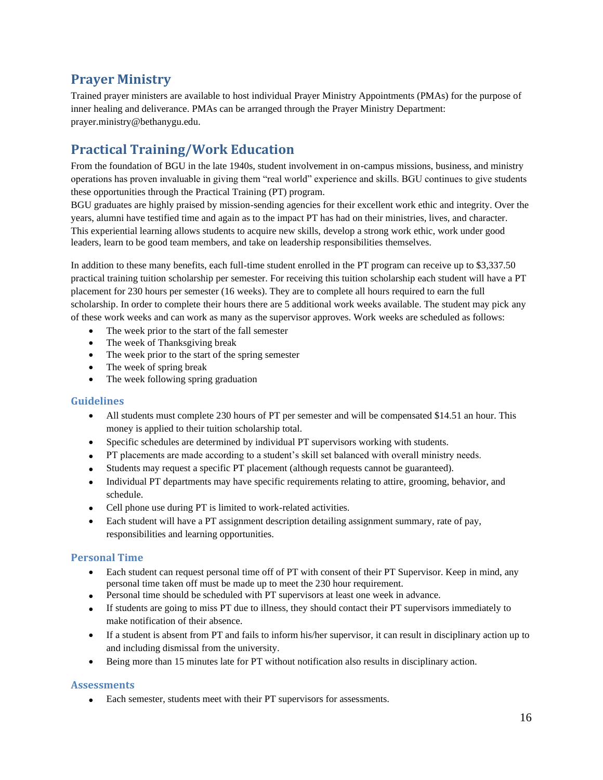## <span id="page-16-0"></span>**Prayer Ministry**

Trained prayer ministers are available to host individual Prayer Ministry Appointments (PMAs) for the purpose of inner healing and deliverance. PMAs can be arranged through the Prayer Ministry Department: prayer.ministry@bethanygu.edu.

## <span id="page-16-1"></span>**Practical Training/Work Education**

From the foundation of BGU in the late 1940s, student involvement in on-campus missions, business, and ministry operations has proven invaluable in giving them "real world" experience and skills. BGU continues to give students these opportunities through the Practical Training (PT) program.

BGU graduates are highly praised by mission-sending agencies for their excellent work ethic and integrity. Over the years, alumni have testified time and again as to the impact PT has had on their ministries, lives, and character. This experiential learning allows students to acquire new skills, develop a strong work ethic, work under good leaders, learn to be good team members, and take on leadership responsibilities themselves.

In addition to these many benefits, each full-time student enrolled in the PT program can receive up to \$3,337.50 practical training tuition scholarship per semester. For receiving this tuition scholarship each student will have a PT placement for 230 hours per semester (16 weeks). They are to complete all hours required to earn the full scholarship. In order to complete their hours there are 5 additional work weeks available. The student may pick any of these work weeks and can work as many as the supervisor approves. Work weeks are scheduled as follows:

- The week prior to the start of the fall semester
- The week of Thanksgiving break
- The week prior to the start of the spring semester
- The week of spring break
- The week following spring graduation

### <span id="page-16-2"></span>**Guidelines**

- All students must complete 230 hours of PT per semester and will be compensated \$14.51 an hour. This money is applied to their tuition scholarship total.
- Specific schedules are determined by individual PT supervisors working with students.
- PT placements are made according to a student's skill set balanced with overall ministry needs.
- Students may request a specific PT placement (although requests cannot be guaranteed).
- Individual PT departments may have specific requirements relating to attire, grooming, behavior, and schedule.
- Cell phone use during PT is limited to work-related activities.
- Each student will have a PT assignment description detailing assignment summary, rate of pay, responsibilities and learning opportunities.

### <span id="page-16-3"></span>**Personal Time**

- Each student can request personal time off of PT with consent of their PT Supervisor. Keep in mind, any personal time taken off must be made up to meet the 230 hour requirement.
- Personal time should be scheduled with PT supervisors at least one week in advance.
- If students are going to miss PT due to illness, they should contact their PT supervisors immediately to make notification of their absence.
- If a student is absent from PT and fails to inform his/her supervisor, it can result in disciplinary action up to and including dismissal from the university.
- Being more than 15 minutes late for PT without notification also results in disciplinary action.

### <span id="page-16-4"></span>**Assessments**

• Each semester, students meet with their PT supervisors for assessments.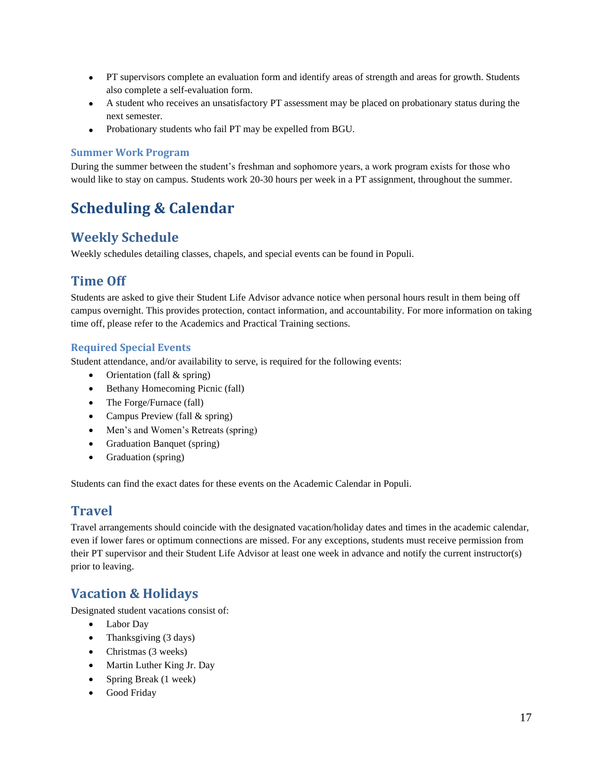- PT supervisors complete an evaluation form and identify areas of strength and areas for growth. Students also complete a self-evaluation form.
- A student who receives an unsatisfactory PT assessment may be placed on probationary status during the next semester.
- Probationary students who fail PT may be expelled from BGU.

#### <span id="page-17-0"></span>**Summer Work Program**

During the summer between the student's freshman and sophomore years, a work program exists for those who would like to stay on campus. Students work 20-30 hours per week in a PT assignment, throughout the summer.

# <span id="page-17-1"></span>**Scheduling & Calendar**

## <span id="page-17-2"></span>**Weekly Schedule**

<span id="page-17-3"></span>Weekly schedules detailing classes, chapels, and special events can be found in Populi.

## **Time Off**

Students are asked to give their Student Life Advisor advance notice when personal hours result in them being off campus overnight. This provides protection, contact information, and accountability. For more information on taking time off, please refer to the Academics and Practical Training sections.

### <span id="page-17-4"></span>**Required Special Events**

Student attendance, and/or availability to serve, is required for the following events:

- Orientation (fall & spring)
- Bethany Homecoming Picnic (fall)
- The Forge/Furnace (fall)
- Campus Preview (fall & spring)
- Men's and Women's Retreats (spring)
- Graduation Banquet (spring)
- Graduation (spring)

<span id="page-17-5"></span>Students can find the exact dates for these events on the Academic Calendar in Populi.

### **Travel**

Travel arrangements should coincide with the designated vacation/holiday dates and times in the academic calendar, even if lower fares or optimum connections are missed. For any exceptions, students must receive permission from their PT supervisor and their Student Life Advisor at least one week in advance and notify the current instructor(s) prior to leaving.

## <span id="page-17-6"></span>**Vacation & Holidays**

Designated student vacations consist of:

- Labor Day
- Thanksgiving (3 days)
- Christmas (3 weeks)
- Martin Luther King Jr. Day
- Spring Break (1 week)
- Good Friday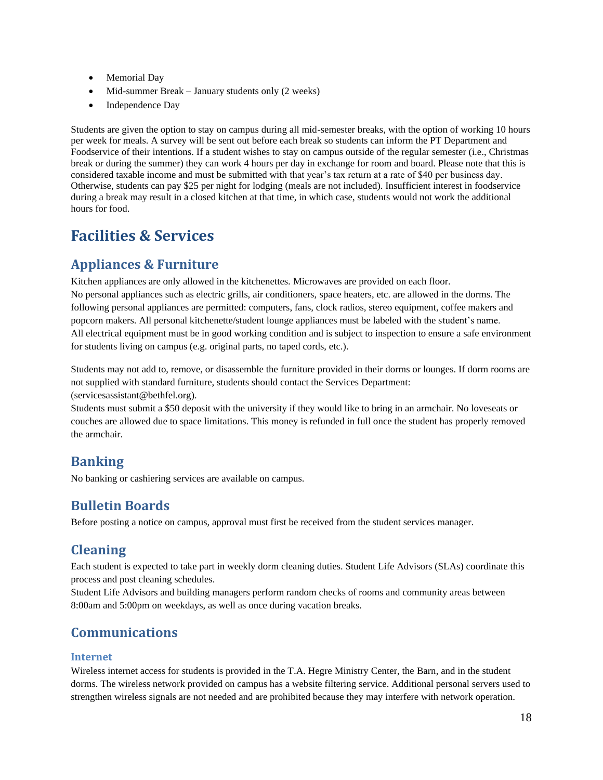- Memorial Day
- Mid-summer Break January students only (2 weeks)
- Independence Day

Students are given the option to stay on campus during all mid-semester breaks, with the option of working 10 hours per week for meals. A survey will be sent out before each break so students can inform the PT Department and Foodservice of their intentions. If a student wishes to stay on campus outside of the regular semester (i.e., Christmas break or during the summer) they can work 4 hours per day in exchange for room and board. Please note that this is considered taxable income and must be submitted with that year's tax return at a rate of \$40 per business day. Otherwise, students can pay \$25 per night for lodging (meals are not included). Insufficient interest in foodservice during a break may result in a closed kitchen at that time, in which case, students would not work the additional hours for food.

# <span id="page-18-0"></span>**Facilities & Services**

## <span id="page-18-1"></span>**Appliances & Furniture**

Kitchen appliances are only allowed in the kitchenettes. Microwaves are provided on each floor. No personal appliances such as electric grills, air conditioners, space heaters, etc. are allowed in the dorms. The following personal appliances are permitted: computers, fans, clock radios, stereo equipment, coffee makers and popcorn makers. All personal kitchenette/student lounge appliances must be labeled with the student's name. All electrical equipment must be in good working condition and is subject to inspection to ensure a safe environment for students living on campus (e.g. original parts, no taped cords, etc.).

Students may not add to, remove, or disassemble the furniture provided in their dorms or lounges. If dorm rooms are not supplied with standard furniture, students should contact the Services Department: (servicesassistant@bethfel.org).

Students must submit a \$50 deposit with the university if they would like to bring in an armchair. No loveseats or couches are allowed due to space limitations. This money is refunded in full once the student has properly removed the armchair.

## <span id="page-18-2"></span>**Banking**

<span id="page-18-3"></span>No banking or cashiering services are available on campus.

## **Bulletin Boards**

<span id="page-18-4"></span>Before posting a notice on campus, approval must first be received from the student services manager.

## **Cleaning**

Each student is expected to take part in weekly dorm cleaning duties. Student Life Advisors (SLAs) coordinate this process and post cleaning schedules.

Student Life Advisors and building managers perform random checks of rooms and community areas between 8:00am and 5:00pm on weekdays, as well as once during vacation breaks.

## <span id="page-18-5"></span>**Communications**

### <span id="page-18-6"></span>**Internet**

Wireless internet access for students is provided in the T.A. Hegre Ministry Center, the Barn, and in the student dorms. The wireless network provided on campus has a website filtering service. Additional personal servers used to strengthen wireless signals are not needed and are prohibited because they may interfere with network operation.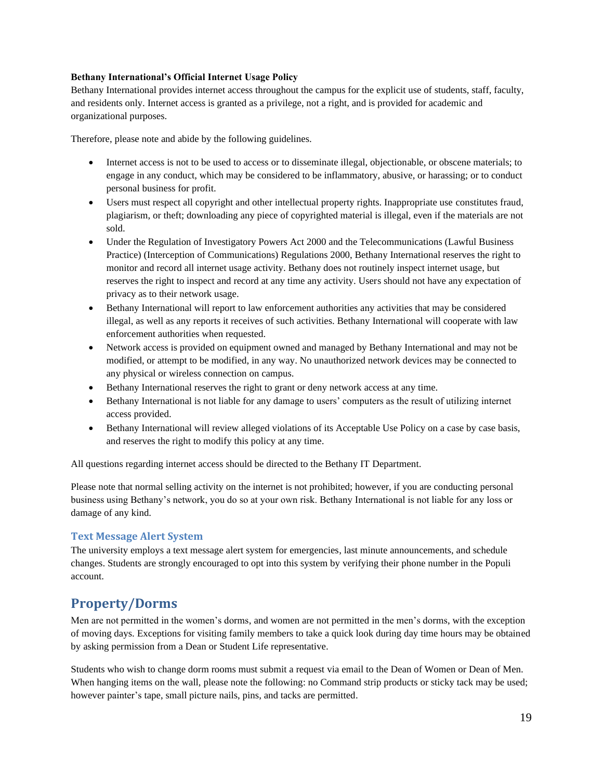#### **Bethany International's Official Internet Usage Policy**

Bethany International provides internet access throughout the campus for the explicit use of students, staff, faculty, and residents only. Internet access is granted as a privilege, not a right, and is provided for academic and organizational purposes.

Therefore, please note and abide by the following guidelines.

- Internet access is not to be used to access or to disseminate illegal, objectionable, or obscene materials; to engage in any conduct, which may be considered to be inflammatory, abusive, or harassing; or to conduct personal business for profit.
- Users must respect all copyright and other intellectual property rights. Inappropriate use constitutes fraud, plagiarism, or theft; downloading any piece of copyrighted material is illegal, even if the materials are not sold.
- Under the Regulation of Investigatory Powers Act 2000 and the Telecommunications (Lawful Business Practice) (Interception of Communications) Regulations 2000, Bethany International reserves the right to monitor and record all internet usage activity. Bethany does not routinely inspect internet usage, but reserves the right to inspect and record at any time any activity. Users should not have any expectation of privacy as to their network usage.
- Bethany International will report to law enforcement authorities any activities that may be considered illegal, as well as any reports it receives of such activities. Bethany International will cooperate with law enforcement authorities when requested.
- Network access is provided on equipment owned and managed by Bethany International and may not be modified, or attempt to be modified, in any way. No unauthorized network devices may be connected to any physical or wireless connection on campus.
- Bethany International reserves the right to grant or deny network access at any time.
- Bethany International is not liable for any damage to users' computers as the result of utilizing internet access provided.
- Bethany International will review alleged violations of its Acceptable Use Policy on a case by case basis, and reserves the right to modify this policy at any time.

All questions regarding internet access should be directed to the Bethany IT Department.

Please note that normal selling activity on the internet is not prohibited; however, if you are conducting personal business using Bethany's network, you do so at your own risk. Bethany International is not liable for any loss or damage of any kind.

### <span id="page-19-0"></span>**Text Message Alert System**

The university employs a text message alert system for emergencies, last minute announcements, and schedule changes. Students are strongly encouraged to opt into this system by verifying their phone number in the Populi account.

## <span id="page-19-1"></span>**Property/Dorms**

Men are not permitted in the women's dorms, and women are not permitted in the men's dorms, with the exception of moving days. Exceptions for visiting family members to take a quick look during day time hours may be obtained by asking permission from a Dean or Student Life representative.

Students who wish to change dorm rooms must submit a request via email to the Dean of Women or Dean of Men. When hanging items on the wall, please note the following: no Command strip products or sticky tack may be used; however painter's tape, small picture nails, pins, and tacks are permitted.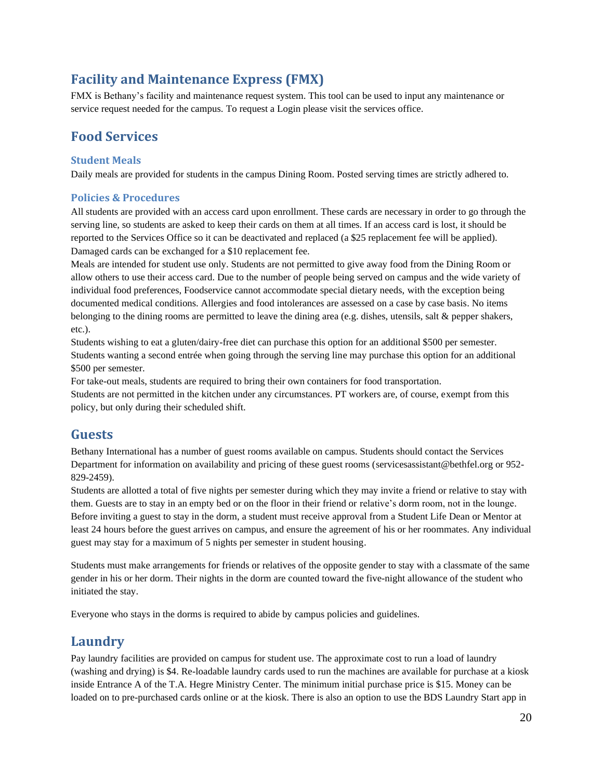## <span id="page-20-0"></span>**Facility and Maintenance Express (FMX)**

FMX is Bethany's facility and maintenance request system. This tool can be used to input any maintenance or service request needed for the campus. To request a Login please visit the services office.

### <span id="page-20-1"></span>**Food Services**

### <span id="page-20-2"></span>**Student Meals**

Daily meals are provided for students in the campus Dining Room. Posted serving times are strictly adhered to.

### <span id="page-20-3"></span>**Policies & Procedures**

All students are provided with an access card upon enrollment. These cards are necessary in order to go through the serving line, so students are asked to keep their cards on them at all times. If an access card is lost, it should be reported to the Services Office so it can be deactivated and replaced (a \$25 replacement fee will be applied). Damaged cards can be exchanged for a \$10 replacement fee.

Meals are intended for student use only. Students are not permitted to give away food from the Dining Room or allow others to use their access card. Due to the number of people being served on campus and the wide variety of individual food preferences, Foodservice cannot accommodate special dietary needs, with the exception being documented medical conditions. Allergies and food intolerances are assessed on a case by case basis. No items belonging to the dining rooms are permitted to leave the dining area (e.g. dishes, utensils, salt & pepper shakers, etc.).

Students wishing to eat a gluten/dairy-free diet can purchase this option for an additional \$500 per semester. Students wanting a second entrée when going through the serving line may purchase this option for an additional \$500 per semester.

For take-out meals, students are required to bring their own containers for food transportation. Students are not permitted in the kitchen under any circumstances. PT workers are, of course, exempt from this policy, but only during their scheduled shift.

### <span id="page-20-4"></span>**Guests**

Bethany International has a number of guest rooms available on campus. Students should contact the Services Department for information on availability and pricing of these guest rooms (servicesassistant@bethfel.org or 952- 829-2459).

Students are allotted a total of five nights per semester during which they may invite a friend or relative to stay with them. Guests are to stay in an empty bed or on the floor in their friend or relative's dorm room, not in the lounge. Before inviting a guest to stay in the dorm, a student must receive approval from a Student Life Dean or Mentor at least 24 hours before the guest arrives on campus, and ensure the agreement of his or her roommates. Any individual guest may stay for a maximum of 5 nights per semester in student housing.

Students must make arrangements for friends or relatives of the opposite gender to stay with a classmate of the same gender in his or her dorm. Their nights in the dorm are counted toward the five-night allowance of the student who initiated the stay.

<span id="page-20-5"></span>Everyone who stays in the dorms is required to abide by campus policies and guidelines.

### **Laundry**

Pay laundry facilities are provided on campus for student use. The approximate cost to run a load of laundry (washing and drying) is \$4. Re-loadable laundry cards used to run the machines are available for purchase at a kiosk inside Entrance A of the T.A. Hegre Ministry Center. The minimum initial purchase price is \$15. Money can be loaded on to pre-purchased cards online or at the kiosk. There is also an option to use the BDS Laundry Start app in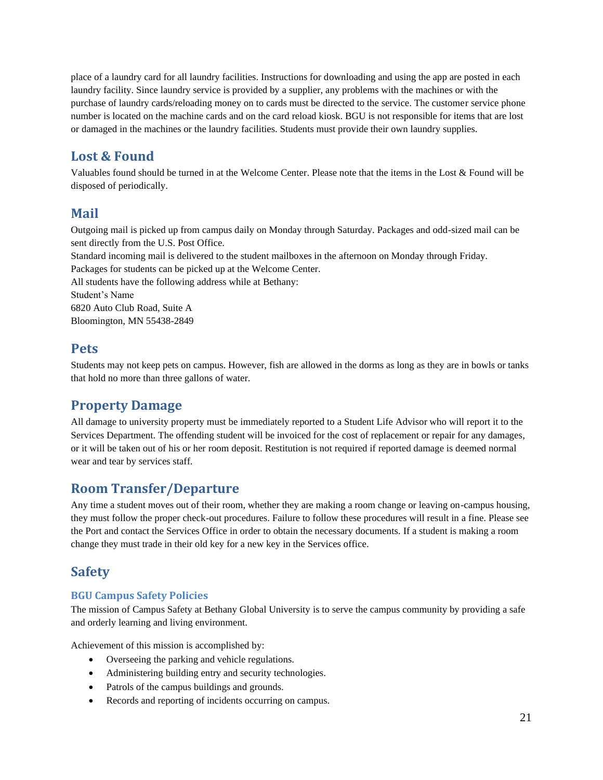place of a laundry card for all laundry facilities. Instructions for downloading and using the app are posted in each laundry facility. Since laundry service is provided by a supplier, any problems with the machines or with the purchase of laundry cards/reloading money on to cards must be directed to the service. The customer service phone number is located on the machine cards and on the card reload kiosk. BGU is not responsible for items that are lost or damaged in the machines or the laundry facilities. Students must provide their own laundry supplies.

## <span id="page-21-0"></span>**Lost & Found**

Valuables found should be turned in at the Welcome Center. Please note that the items in the Lost & Found will be disposed of periodically.

### <span id="page-21-1"></span>**Mail**

Outgoing mail is picked up from campus daily on Monday through Saturday. Packages and odd-sized mail can be sent directly from the U.S. Post Office.

Standard incoming mail is delivered to the student mailboxes in the afternoon on Monday through Friday. Packages for students can be picked up at the Welcome Center.

All students have the following address while at Bethany:

Student's Name

6820 Auto Club Road, Suite A Bloomington, MN 55438-2849

## <span id="page-21-2"></span>**Pets**

Students may not keep pets on campus. However, fish are allowed in the dorms as long as they are in bowls or tanks that hold no more than three gallons of water.

## <span id="page-21-3"></span>**Property Damage**

All damage to university property must be immediately reported to a Student Life Advisor who will report it to the Services Department. The offending student will be invoiced for the cost of replacement or repair for any damages, or it will be taken out of his or her room deposit. Restitution is not required if reported damage is deemed normal wear and tear by services staff.

## <span id="page-21-4"></span>**Room Transfer/Departure**

Any time a student moves out of their room, whether they are making a room change or leaving on-campus housing, they must follow the proper check-out procedures. Failure to follow these procedures will result in a fine. Please see the Port and contact the Services Office in order to obtain the necessary documents. If a student is making a room change they must trade in their old key for a new key in the Services office.

## <span id="page-21-5"></span>**Safety**

### <span id="page-21-6"></span>**BGU Campus Safety Policies**

The mission of Campus Safety at Bethany Global University is to serve the campus community by providing a safe and orderly learning and living environment.

Achievement of this mission is accomplished by:

- Overseeing the parking and vehicle regulations.
- Administering building entry and security technologies.
- Patrols of the campus buildings and grounds.
- Records and reporting of incidents occurring on campus.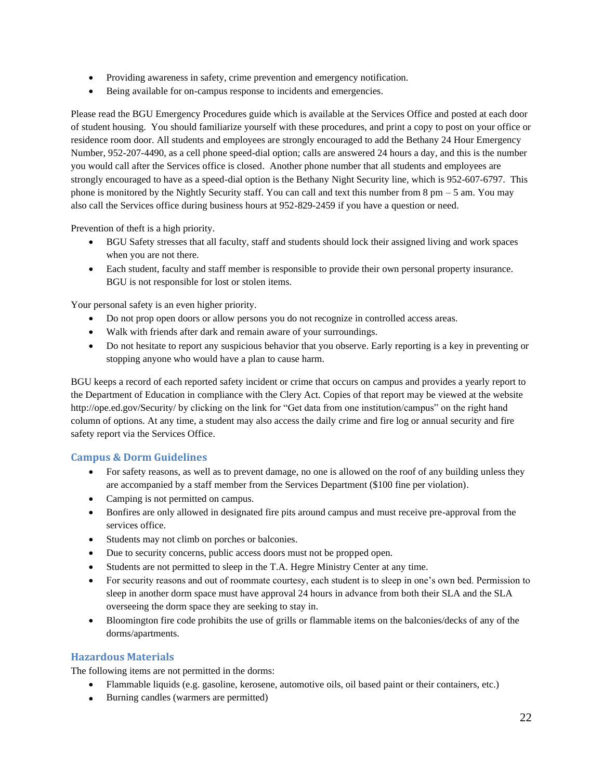- Providing awareness in safety, crime prevention and emergency notification.
- Being available for on-campus response to incidents and emergencies.

Please read the BGU Emergency Procedures guide which is available at the Services Office and posted at each door of student housing. You should familiarize yourself with these procedures, and print a copy to post on your office or residence room door. All students and employees are strongly encouraged to add the Bethany 24 Hour Emergency Number, 952-207-4490, as a cell phone speed-dial option; calls are answered 24 hours a day, and this is the number you would call after the Services office is closed. Another phone number that all students and employees are strongly encouraged to have as a speed-dial option is the Bethany Night Security line, which is 952-607-6797. This phone is monitored by the Nightly Security staff. You can call and text this number from  $8 \text{ pm} - 5 \text{ am}$ . You may also call the Services office during business hours at 952-829-2459 if you have a question or need.

Prevention of theft is a high priority.

- BGU Safety stresses that all faculty, staff and students should lock their assigned living and work spaces when you are not there.
- Each student, faculty and staff member is responsible to provide their own personal property insurance. BGU is not responsible for lost or stolen items.

Your personal safety is an even higher priority.

- Do not prop open doors or allow persons you do not recognize in controlled access areas.
- Walk with friends after dark and remain aware of your surroundings.
- Do not hesitate to report any suspicious behavior that you observe. Early reporting is a key in preventing or stopping anyone who would have a plan to cause harm.

BGU keeps a record of each reported safety incident or crime that occurs on campus and provides a yearly report to the Department of Education in compliance with the Clery Act. Copies of that report may be viewed at the website http://ope.ed.gov/Security/ by clicking on the link for "Get data from one institution/campus" on the right hand column of options. At any time, a student may also access the daily crime and fire log or annual security and fire safety report via the Services Office.

### <span id="page-22-0"></span>**Campus & Dorm Guidelines**

- For safety reasons, as well as to prevent damage, no one is allowed on the roof of any building unless they are accompanied by a staff member from the Services Department (\$100 fine per violation).
- Camping is not permitted on campus.
- Bonfires are only allowed in designated fire pits around campus and must receive pre-approval from the services office.
- Students may not climb on porches or balconies.
- Due to security concerns, public access doors must not be propped open.
- Students are not permitted to sleep in the T.A. Hegre Ministry Center at any time.
- For security reasons and out of roommate courtesy, each student is to sleep in one's own bed. Permission to sleep in another dorm space must have approval 24 hours in advance from both their SLA and the SLA overseeing the dorm space they are seeking to stay in.
- Bloomington fire code prohibits the use of grills or flammable items on the balconies/decks of any of the dorms/apartments.

### <span id="page-22-1"></span>**Hazardous Materials**

The following items are not permitted in the dorms:

- Flammable liquids (e.g. gasoline, kerosene, automotive oils, oil based paint or their containers, etc.)
- Burning candles (warmers are permitted)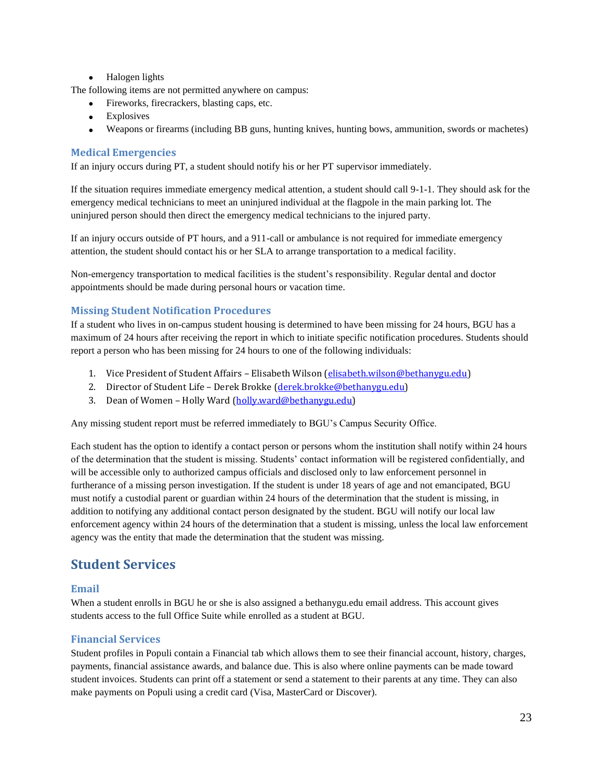• Halogen lights

The following items are not permitted anywhere on campus:

- Fireworks, firecrackers, blasting caps, etc.
- **Explosives**
- Weapons or firearms (including BB guns, hunting knives, hunting bows, ammunition, swords or machetes)

#### <span id="page-23-0"></span>**Medical Emergencies**

If an injury occurs during PT, a student should notify his or her PT supervisor immediately.

If the situation requires immediate emergency medical attention, a student should call 9-1-1. They should ask for the emergency medical technicians to meet an uninjured individual at the flagpole in the main parking lot. The uninjured person should then direct the emergency medical technicians to the injured party.

If an injury occurs outside of PT hours, and a 911-call or ambulance is not required for immediate emergency attention, the student should contact his or her SLA to arrange transportation to a medical facility.

Non-emergency transportation to medical facilities is the student's responsibility. Regular dental and doctor appointments should be made during personal hours or vacation time.

### <span id="page-23-1"></span>**Missing Student Notification Procedures**

If a student who lives in on-campus student housing is determined to have been missing for 24 hours, BGU has a maximum of 24 hours after receiving the report in which to initiate specific notification procedures. Students should report a person who has been missing for 24 hours to one of the following individuals:

- 1. Vice President of Student Affairs Elisabeth Wilson [\(elisabeth.wilson@bethanygu.edu\)](mailto:elisabeth.wilson@bethanygu.edu)
- 2. Director of Student Life Derek Brokke [\(derek.brokke@bethanygu.edu\)](mailto:derek.brokke@bethanygu.edu)
- 3. Dean of Women Holly Ward [\(holly.ward@bethanygu.edu\)](mailto:holly.ward@bethanygu.edu)

Any missing student report must be referred immediately to BGU's Campus Security Office.

Each student has the option to identify a contact person or persons whom the institution shall notify within 24 hours of the determination that the student is missing. Students' contact information will be registered confidentially, and will be accessible only to authorized campus officials and disclosed only to law enforcement personnel in furtherance of a missing person investigation. If the student is under 18 years of age and not emancipated, BGU must notify a custodial parent or guardian within 24 hours of the determination that the student is missing, in addition to notifying any additional contact person designated by the student. BGU will notify our local law enforcement agency within 24 hours of the determination that a student is missing, unless the local law enforcement agency was the entity that made the determination that the student was missing.

## <span id="page-23-2"></span>**Student Services**

#### <span id="page-23-3"></span>**Email**

When a student enrolls in BGU he or she is also assigned a bethanygu.edu email address. This account gives students access to the full Office Suite while enrolled as a student at BGU.

### <span id="page-23-4"></span>**Financial Services**

Student profiles in Populi contain a Financial tab which allows them to see their financial account, history, charges, payments, financial assistance awards, and balance due. This is also where online payments can be made toward student invoices. Students can print off a statement or send a statement to their parents at any time. They can also make payments on Populi using a credit card (Visa, MasterCard or Discover).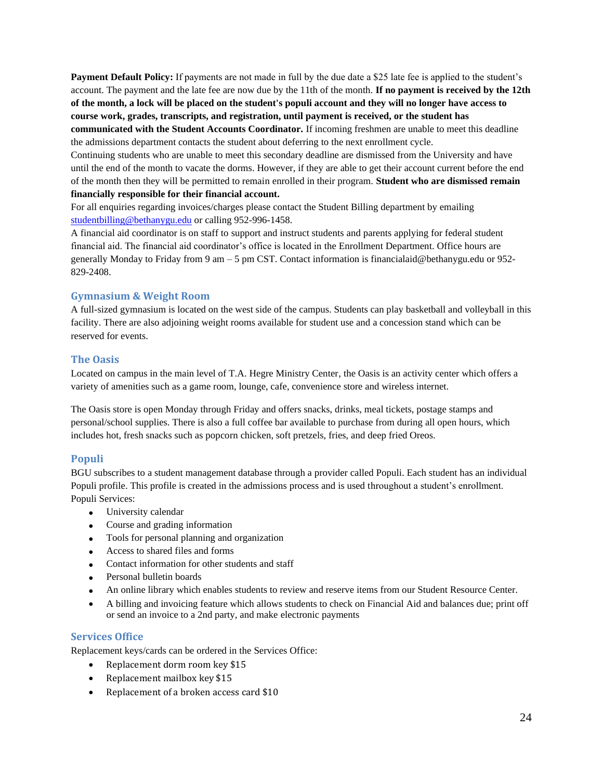**Payment Default Policy:** If payments are not made in full by the due date a \$25 late fee is applied to the student's account. The payment and the late fee are now due by the 11th of the month. **If no payment is received by the 12th of the month, a lock will be placed on the student's populi account and they will no longer have access to course work, grades, transcripts, and registration, until payment is received, or the student has communicated with the Student Accounts Coordinator.** If incoming freshmen are unable to meet this deadline the admissions department contacts the student about deferring to the next enrollment cycle.

Continuing students who are unable to meet this secondary deadline are dismissed from the University and have until the end of the month to vacate the dorms. However, if they are able to get their account current before the end of the month then they will be permitted to remain enrolled in their program. **Student who are dismissed remain financially responsible for their financial account.** 

For all enquiries regarding invoices/charges please contact the Student Billing department by emailing [studentbilling@bethanygu.edu](mailto:studentbilling@bethanygu.edu) or calling 952-996-1458.

A financial aid coordinator is on staff to support and instruct students and parents applying for federal student financial aid. The financial aid coordinator's office is located in the Enrollment Department. Office hours are generally Monday to Friday from 9 am – 5 pm CST. Contact information is financialaid@bethanygu.edu or 952- 829-2408.

### <span id="page-24-0"></span>**Gymnasium & Weight Room**

A full-sized gymnasium is located on the west side of the campus. Students can play basketball and volleyball in this facility. There are also adjoining weight rooms available for student use and a concession stand which can be reserved for events.

### <span id="page-24-1"></span>**The Oasis**

Located on campus in the main level of T.A. Hegre Ministry Center, the Oasis is an activity center which offers a variety of amenities such as a game room, lounge, cafe, convenience store and wireless internet.

The Oasis store is open Monday through Friday and offers snacks, drinks, meal tickets, postage stamps and personal/school supplies. There is also a full coffee bar available to purchase from during all open hours, which includes hot, fresh snacks such as popcorn chicken, soft pretzels, fries, and deep fried Oreos.

### <span id="page-24-2"></span>**Populi**

BGU subscribes to a student management database through a provider called Populi. Each student has an individual Populi profile. This profile is created in the admissions process and is used throughout a student's enrollment. Populi Services:

- University calendar
- Course and grading information
- Tools for personal planning and organization
- Access to shared files and forms
- Contact information for other students and staff
- Personal bulletin boards
- An online library which enables students to review and reserve items from our Student Resource Center.
- A billing and invoicing feature which allows students to check on Financial Aid and balances due; print off or send an invoice to a 2nd party, and make electronic payments

### <span id="page-24-3"></span>**Services Office**

Replacement keys/cards can be ordered in the Services Office:

- Replacement dorm room key \$15
- Replacement mailbox key \$15
- Replacement of a broken access card \$10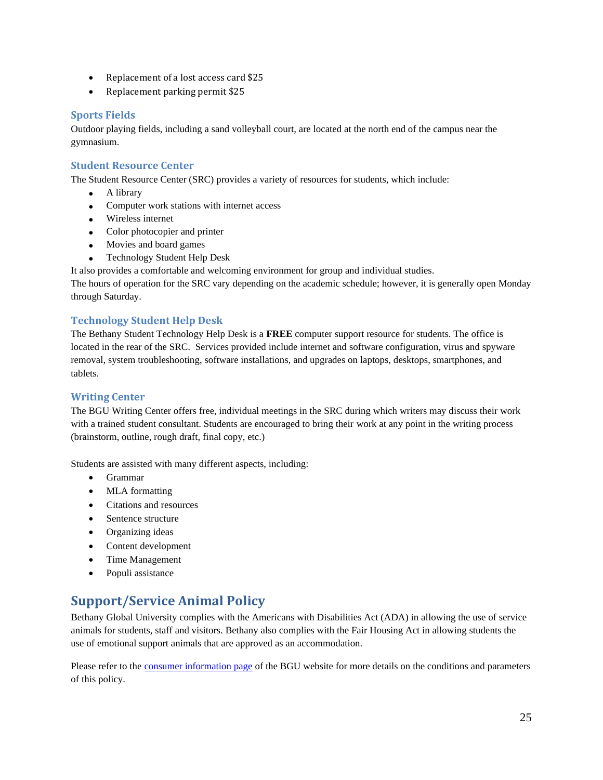- Replacement of a lost access card \$25
- Replacement parking permit \$25

#### <span id="page-25-0"></span>**Sports Fields**

Outdoor playing fields, including a sand volleyball court, are located at the north end of the campus near the gymnasium.

#### <span id="page-25-1"></span>**Student Resource Center**

The Student Resource Center (SRC) provides a variety of resources for students, which include:

- A library
- Computer work stations with internet access
- Wireless internet
- Color photocopier and printer
- Movies and board games
- Technology Student Help Desk
- It also provides a comfortable and welcoming environment for group and individual studies.

The hours of operation for the SRC vary depending on the academic schedule; however, it is generally open Monday through Saturday.

#### <span id="page-25-2"></span>**Technology Student Help Desk**

The Bethany Student Technology Help Desk is a **FREE** computer support resource for students. The office is located in the rear of the SRC. Services provided include internet and software configuration, virus and spyware removal, system troubleshooting, software installations, and upgrades on laptops, desktops, smartphones, and tablets.

#### <span id="page-25-3"></span>**Writing Center**

The BGU Writing Center offers free, individual meetings in the SRC during which writers may discuss their work with a trained student consultant. Students are encouraged to bring their work at any point in the writing process (brainstorm, outline, rough draft, final copy, etc.)

Students are assisted with many different aspects, including:

- Grammar
- MLA formatting
- Citations and resources
- Sentence structure
- Organizing ideas
- Content development
- Time Management
- Populi assistance

### <span id="page-25-4"></span>**Support/Service Animal Policy**

Bethany Global University complies with the Americans with Disabilities Act (ADA) in allowing the use of service animals for students, staff and visitors. Bethany also complies with the Fair Housing Act in allowing students the use of emotional support animals that are approved as an accommodation.

Please refer to the **consumer information page** of the BGU website for more details on the conditions and parameters of this policy.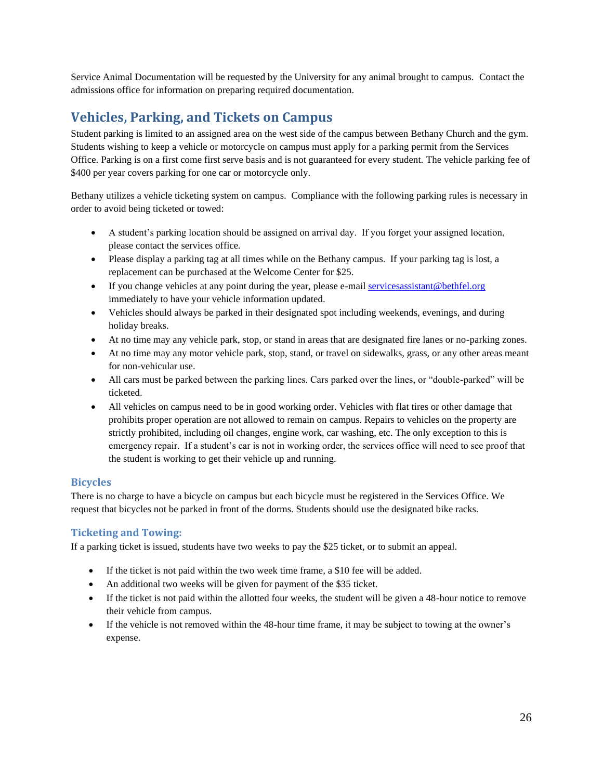Service Animal Documentation will be requested by the University for any animal brought to campus. Contact the admissions office for information on preparing required documentation.

## <span id="page-26-0"></span>**Vehicles, Parking, and Tickets on Campus**

Student parking is limited to an assigned area on the west side of the campus between Bethany Church and the gym. Students wishing to keep a vehicle or motorcycle on campus must apply for a parking permit from the Services Office. Parking is on a first come first serve basis and is not guaranteed for every student. The vehicle parking fee of \$400 per year covers parking for one car or motorcycle only.

Bethany utilizes a vehicle ticketing system on campus. Compliance with the following parking rules is necessary in order to avoid being ticketed or towed:

- A student's parking location should be assigned on arrival day. If you forget your assigned location, please contact the services office.
- Please display a parking tag at all times while on the Bethany campus. If your parking tag is lost, a replacement can be purchased at the Welcome Center for \$25.
- If you change vehicles at any point during the year, please e-mail services assistant @bethfel.org immediately to have your vehicle information updated.
- Vehicles should always be parked in their designated spot including weekends, evenings, and during holiday breaks.
- At no time may any vehicle park, stop, or stand in areas that are designated fire lanes or no-parking zones.
- At no time may any motor vehicle park, stop, stand, or travel on sidewalks, grass, or any other areas meant for non-vehicular use.
- All cars must be parked between the parking lines. Cars parked over the lines, or "double-parked" will be ticketed.
- All vehicles on campus need to be in good working order. Vehicles with flat tires or other damage that prohibits proper operation are not allowed to remain on campus. Repairs to vehicles on the property are strictly prohibited, including oil changes, engine work, car washing, etc. The only exception to this is emergency repair. If a student's car is not in working order, the services office will need to see proof that the student is working to get their vehicle up and running.

### <span id="page-26-1"></span>**Bicycles**

There is no charge to have a bicycle on campus but each bicycle must be registered in the Services Office. We request that bicycles not be parked in front of the dorms. Students should use the designated bike racks.

### <span id="page-26-2"></span>**Ticketing and Towing:**

If a parking ticket is issued, students have two weeks to pay the \$25 ticket, or to submit an appeal.

- If the ticket is not paid within the two week time frame, a \$10 fee will be added.
- An additional two weeks will be given for payment of the \$35 ticket.
- If the ticket is not paid within the allotted four weeks, the student will be given a 48-hour notice to remove their vehicle from campus.
- If the vehicle is not removed within the 48-hour time frame, it may be subject to towing at the owner's expense.